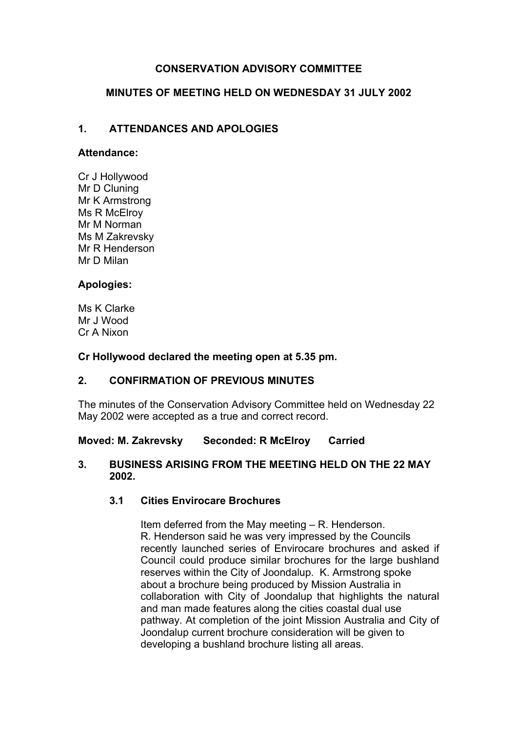# **CONSERVATION ADVISORY COMMITTEE**

## **MINUTES OF MEETING HELD ON WEDNESDAY 31 JULY 2002**

# **1. ATTENDANCES AND APOLOGIES**

#### **Attendance:**

Cr J Hollywood Mr D Cluning Mr K Armstrong Ms R McElroy Mr M Norman Ms M Zakrevsky Mr R Henderson Mr D Milan

## **Apologies:**

Ms K Clarke Mr J Wood Cr A Nixon

#### **Cr Hollywood declared the meeting open at 5.35 pm.**

## **2. CONFIRMATION OF PREVIOUS MINUTES**

The minutes of the Conservation Advisory Committee held on Wednesday 22 May 2002 were accepted as a true and correct record.

## **Moved: M. Zakrevsky Seconded: R McElroy Carried**

#### **3. BUSINESS ARISING FROM THE MEETING HELD ON THE 22 MAY 2002.**

## **3.1 Cities Envirocare Brochures**

Item deferred from the May meeting – R. Henderson. R. Henderson said he was very impressed by the Councils recently launched series of Envirocare brochures and asked if Council could produce similar brochures for the large bushland reserves within the City of Joondalup. K. Armstrong spoke about a brochure being produced by Mission Australia in collaboration with City of Joondalup that highlights the natural and man made features along the cities coastal dual use pathway. At completion of the joint Mission Australia and City of Joondalup current brochure consideration will be given to developing a bushland brochure listing all areas.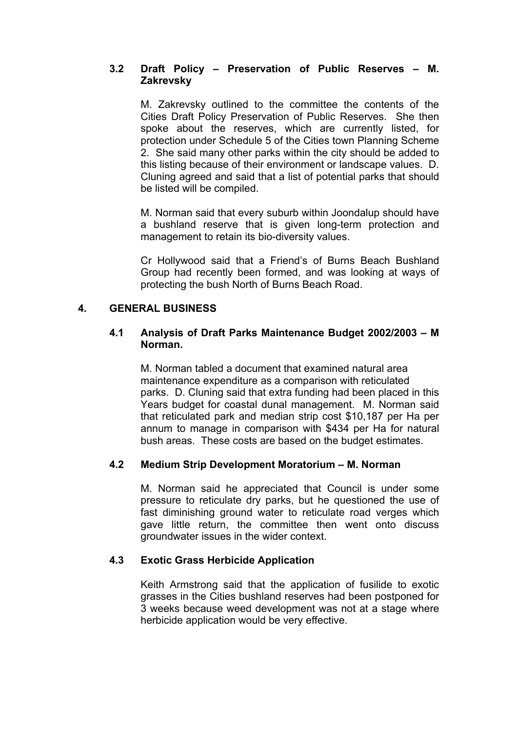## **3.2 Draft Policy – Preservation of Public Reserves – M. Zakrevsky**

M. Zakrevsky outlined to the committee the contents of the Cities Draft Policy Preservation of Public Reserves. She then spoke about the reserves, which are currently listed, for protection under Schedule 5 of the Cities town Planning Scheme 2. She said many other parks within the city should be added to this listing because of their environment or landscape values. D. Cluning agreed and said that a list of potential parks that should be listed will be compiled.

M. Norman said that every suburb within Joondalup should have a bushland reserve that is given long-term protection and management to retain its bio-diversity values.

Cr Hollywood said that a Friend's of Burns Beach Bushland Group had recently been formed, and was looking at ways of protecting the bush North of Burns Beach Road.

## **4. GENERAL BUSINESS**

#### **4.1 Analysis of Draft Parks Maintenance Budget 2002/2003 – M Norman.**

M. Norman tabled a document that examined natural area maintenance expenditure as a comparison with reticulated parks. D. Cluning said that extra funding had been placed in this Years budget for coastal dunal management. M. Norman said that reticulated park and median strip cost \$10,187 per Ha per annum to manage in comparison with \$434 per Ha for natural bush areas. These costs are based on the budget estimates.

## **4.2 Medium Strip Development Moratorium – M. Norman**

M. Norman said he appreciated that Council is under some pressure to reticulate dry parks, but he questioned the use of fast diminishing ground water to reticulate road verges which gave little return, the committee then went onto discuss groundwater issues in the wider context.

## **4.3 Exotic Grass Herbicide Application**

Keith Armstrong said that the application of fusilide to exotic grasses in the Cities bushland reserves had been postponed for 3 weeks because weed development was not at a stage where herbicide application would be very effective.